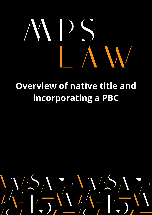# **Overview of native title and incorporating a PBC**

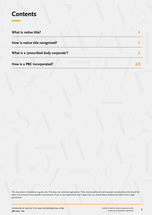### **Contents**

| What is native title?                  |  |
|----------------------------------------|--|
| How is native title recognised?        |  |
| What is a 'prescribed body corporate'? |  |
| How is a PBC incorporated?             |  |

This document is intended as a guide only. This does not constitute legal advice. There may be additional and important considerations that should be taken into account in your specific circumstances. If you or your organisation has a legal issue, you should obtain professional advice from a legal practitioner.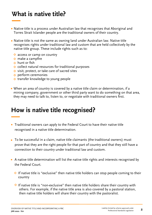## **What is native title?**

- Native title is a process under Australian law that recognises that Aboriginal and Torres Strait Islander people are the traditional owners of their country.
- Native title is not the same as owning land under Australian law. Native title recognises rights under traditional law and custom that are held collectively by the native title group. These include rights such as to:
	- $\Diamond$  access or camp on country
	- $\diamond$  make a campfire
	- $\diamond$  hunt or fish
	- $\Diamond$  collect natural resources for traditional purposes
	- $\diamond$  visit, protect, or take care of sacred sites
	- $\diamond$  perform ceremonies
	- ◆ transfer knowledge to young people
- When an area of country is covered by a native title claim or determination, if a mining company, government or other third party want to do something on that area, they may need to talk to, listen to, or negotiate with traditional owners first.

### **How is native title recognised?**

- Traditional owners can apply to the Federal Court to have their native title recognised in a native title determination.
- To be successful in a claim, native title claimants (the traditional owners) must  $\bullet$ prove that they are the right people for that part of country and that they still have a connection to their country under traditional law and custom.
- A native title determination will list the native title rights and interests recognised by the Federal Court.
	- $\Diamond$  If native title is "exclusive" then native title holders can stop people coming to their country
	- $\Diamond$  If native title is "non-exclusive" then native title holders share their country with others. For example, if the native title area is also covered by a pastoral station, then native title holders will share their country with the pastoralist.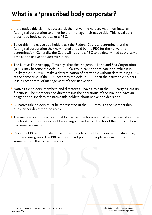## **What is a 'prescribed body corporate'?**

- If the native title claim is successful, the native title holders must nominate an Aboriginal corporation to either hold or manage their native title. This is called a prescribed body corporate, or a PBC.
- To do this, the native title holders ask the Federal Court to determine that the Aboriginal corporation they nominated should be the PBC for the native title determination. Generally, the Court will require a PBC to be determined at the same time as the native title determination.
- The Native Title Act 1993 (Cth) says that the Indigenous Land and Sea Corporation (ILSC) may become the default PBC. if a group cannot nominate one. While it is unlikely the Court will make a determination of native title without determining a PBC at the same time, if the ILSC becomes the default PBC, then the native title holders lose direct control of management of their native title.
- Native title holders, members and directors all have a role in the PBC carrying out its functions. The members and directors run the operations of the PBC and have an obligation to speak to the native title holders about native title decisions.
- All native title holders must be represented in the PBC through the membership rules, either directly or indirectly.
- The members and directors must follow the rule book and native title legislation. The rule book includes rules about becoming a member or director of the PBC and how decisions are made.
- Once the PBC is nominated it becomes the job of the PBC to deal with native title, not the claim group. The PBC is the contact point for people who want to do something on the native title area.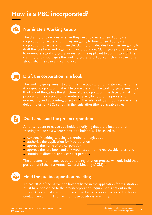## **How is a PBC incorporated?**

### **Nominate a Working Group**

The claim group decides whether they need to create a new Aboriginal corporation to be the PBC. If they are going to form a new Aboriginal corporation to be the PBC, then the claim group decides how they are going to draft the rule book and organise its incorporation. Claim groups often decide to nominate a working group or instruct the Applicant to do this work. The **1** claim1 group should give the working group and Applicant clear instructions about what they can and cannot do.

#### **Draft the corporation rule book**

The working group meets to draft the rule book and nominate a name for the Aboriginal corporation that will become the PBC. The working group needs to think about things like the structure of the corporation, the decision-making process for the corporation, membership eligibility and the process for nominating and appointing directors. The rule book can modify some of the **2** default rules for PBCs set out in the legislation (the replaceable rules).

#### **Draft and send the pre-incorporation**

A notice is sent to native title holders notifying that a pre-incorporation meeting will be held where native title holders will be asked to:

- consent in writing to being a member on registration
- authorise the application for incorporation
- approve the name of the corporation
- approve the rule book and any modification to the replaceable rules; and
- nominate directors and a contact person. **3**

The directors nominated as part of the registration process will only hold that position until the first Annual General Meeting (AGM). **4**

E

#### **Hold the pre-incorporation meeting**

At least 75% of the native title holders listed in the application for registration must have consented to the pre-incorporation requirements set out in the notice. Anyone that signs up to be a member or is appointed as a director or contact person must consent to those positions in writing.